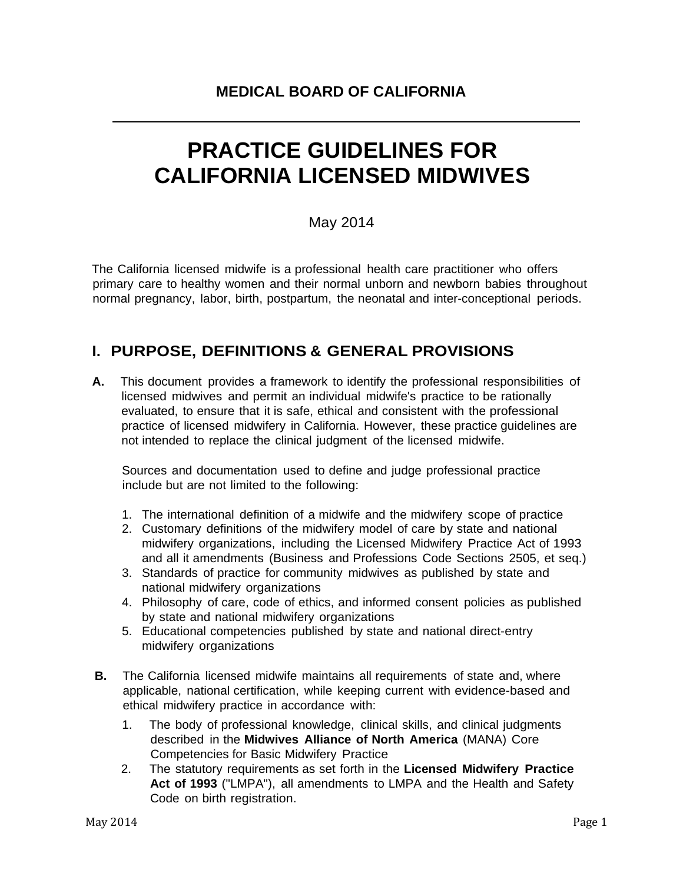# **PRACTICE GUIDELINES FOR CALIFORNIA LICENSED MIDWIVES**

May 2014

The California licensed midwife is a professional health care practitioner who offers primary care to healthy women and their normal unborn and newborn babies throughout normal pregnancy, labor, birth, postpartum, the neonatal and inter-conceptional periods.

# **I. PURPOSE, DEFINITIONS & GENERAL PROVISIONS**

**A.** This document provides a framework to identify the professional responsibilities of licensed midwives and permit an individual midwife's practice to be rationally evaluated, to ensure that it is safe, ethical and consistent with the professional practice of licensed midwifery in California. However, these practice guidelines are not intended to replace the clinical judgment of the licensed midwife.

Sources and documentation used to define and judge professional practice include but are not limited to the following:

- 1. The international definition of a midwife and the midwifery scope of practice
- 2. Customary definitions of the midwifery model of care by state and national midwifery organizations, including the Licensed Midwifery Practice Act of 1993 and all it amendments (Business and Professions Code Sections 2505, et seq.)
- 3. Standards of practice for community midwives as published by state and national midwifery organizations
- 4. Philosophy of care, code of ethics, and informed consent policies as published by state and national midwifery organizations
- 5. Educational competencies published by state and national direct-entry midwifery organizations
- **B.** The California licensed midwife maintains all requirements of state and, where applicable, national certification, while keeping current with evidence-based and ethical midwifery practice in accordance with:
	- 1. The body of professional knowledge, clinical skills, and clinical judgments described in the **Midwives Alliance of North America** (MANA) Core Competencies for Basic Midwifery Practice
	- 2. The statutory requirements as set forth in the **Licensed Midwifery Practice Act of 1993** ("LMPA"), all amendments to LMPA and the Health and Safety Code on birth registration.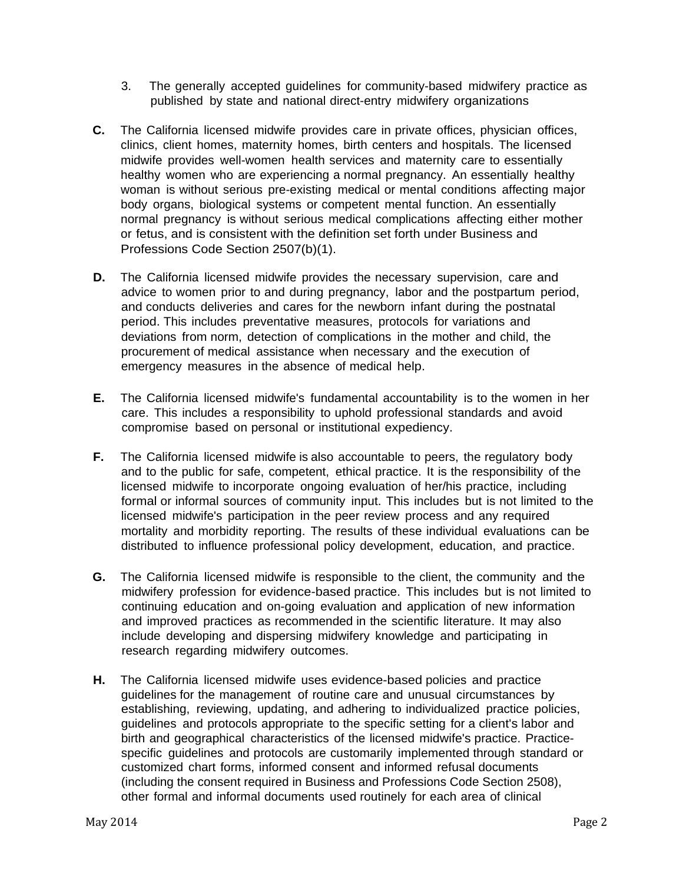- 3. The generally accepted guidelines for community-based midwifery practice as published by state and national direct-entry midwifery organizations
- **C.** The California licensed midwife provides care in private offices, physician offices, clinics, client homes, maternity homes, birth centers and hospitals. The licensed midwife provides well-women health services and maternity care to essentially healthy women who are experiencing a normal pregnancy. An essentially healthy woman is without serious pre-existing medical or mental conditions affecting major body organs, biological systems or competent mental function. An essentially normal pregnancy is without serious medical complications affecting either mother or fetus, and is consistent with the definition set forth under Business and Professions Code Section 2507(b)(1).
- **D.** The California licensed midwife provides the necessary supervision, care and advice to women prior to and during pregnancy, labor and the postpartum period, and conducts deliveries and cares for the newborn infant during the postnatal period. This includes preventative measures, protocols for variations and deviations from norm, detection of complications in the mother and child, the procurement of medical assistance when necessary and the execution of emergency measures in the absence of medical help.
- **E.** The California licensed midwife's fundamental accountability is to the women in her care. This includes a responsibility to uphold professional standards and avoid compromise based on personal or institutional expediency.
- **F.** The California licensed midwife is also accountable to peers, the regulatory body and to the public for safe, competent, ethical practice. It is the responsibility of the licensed midwife to incorporate ongoing evaluation of her/his practice, including formal or informal sources of community input. This includes but is not limited to the licensed midwife's participation in the peer review process and any required mortality and morbidity reporting. The results of these individual evaluations can be distributed to influence professional policy development, education, and practice.
- **G.** The California licensed midwife is responsible to the client, the community and the midwifery profession for evidence-based practice. This includes but is not limited to continuing education and on-going evaluation and application of new information and improved practices as recommended in the scientific literature. It may also include developing and dispersing midwifery knowledge and participating in research regarding midwifery outcomes.
- **H.** The California licensed midwife uses evidence-based policies and practice guidelines for the management of routine care and unusual circumstances by establishing, reviewing, updating, and adhering to individualized practice policies, guidelines and protocols appropriate to the specific setting for a client's labor and birth and geographical characteristics of the licensed midwife's practice. Practicespecific guidelines and protocols are customarily implemented through standard or customized chart forms, informed consent and informed refusal documents (including the consent required in Business and Professions Code Section 2508), other formal and informal documents used routinely for each area of clinical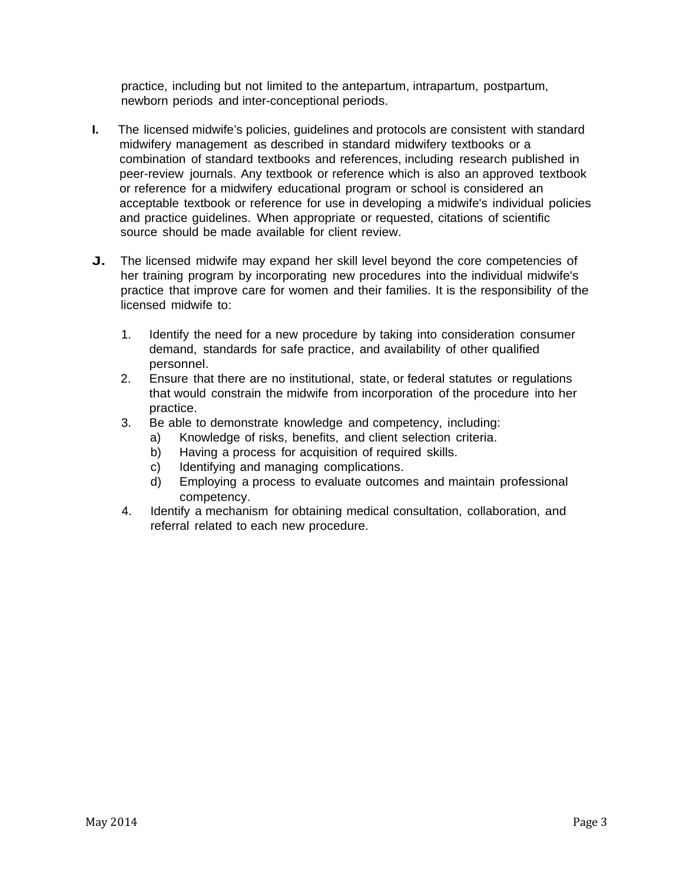practice, including but not limited to the antepartum, intrapartum, postpartum, newborn periods and inter-conceptional periods.

- **I.** The licensed midwife's policies, guidelines and protocols are consistent with standard midwifery management as described in standard midwifery textbooks or a combination of standard textbooks and references, including research published in peer-review journals. Any textbook or reference which is also an approved textbook or reference for a midwifery educational program or school is considered an acceptable textbook or reference for use in developing a midwife's individual policies and practice guidelines. When appropriate or requested, citations of scientific source should be made available for client review.
- **J.** The licensed midwife may expand her skill level beyond the core competencies of her training program by incorporating new procedures into the individual midwife's practice that improve care for women and their families. It is the responsibility of the licensed midwife to:
	- 1. Identify the need for a new procedure by taking into consideration consumer demand, standards for safe practice, and availability of other qualified personnel.
	- 2. Ensure that there are no institutional, state, or federal statutes or regulations that would constrain the midwife from incorporation of the procedure into her practice.
	- 3. Be able to demonstrate knowledge and competency, including:
		- a) Knowledge of risks, benefits, and client selection criteria.
		- b) Having a process for acquisition of required skills.
		- c) Identifying and managing complications.
		- d) Employing a process to evaluate outcomes and maintain professional competency.
	- 4. Identify a mechanism for obtaining medical consultation, collaboration, and referral related to each new procedure.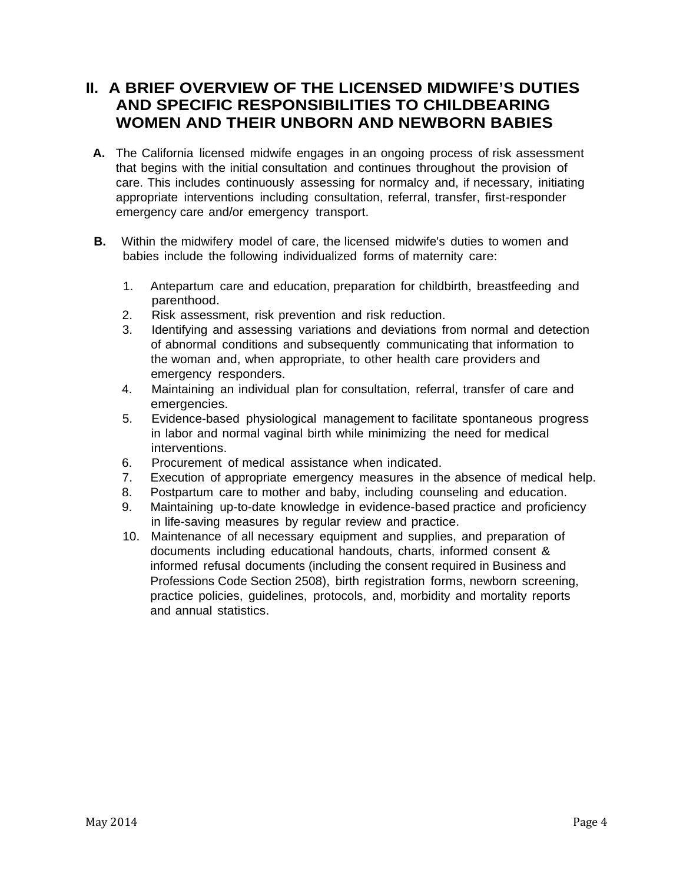### **II. A BRIEF OVERVIEW OF THE LICENSED MIDWIFE'S DUTIES AND SPECIFIC RESPONSIBILITIES TO CHILDBEARING WOMEN AND THEIR UNBORN AND NEWBORN BABIES**

- **A.** The California licensed midwife engages in an ongoing process of risk assessment that begins with the initial consultation and continues throughout the provision of care. This includes continuously assessing for normalcy and, if necessary, initiating appropriate interventions including consultation, referral, transfer, first-responder emergency care and/or emergency transport.
- **B.** Within the midwifery model of care, the licensed midwife's duties to women and babies include the following individualized forms of maternity care:
	- 1. Antepartum care and education, preparation for childbirth, breastfeeding and parenthood.
	- 2. Risk assessment, risk prevention and risk reduction.
	- 3. Identifying and assessing variations and deviations from normal and detection of abnormal conditions and subsequently communicating that information to the woman and, when appropriate, to other health care providers and emergency responders.
	- 4. Maintaining an individual plan for consultation, referral, transfer of care and emergencies.
	- 5. Evidence-based physiological management to facilitate spontaneous progress in labor and normal vaginal birth while minimizing the need for medical interventions.
	- 6. Procurement of medical assistance when indicated.
	- 7. Execution of appropriate emergency measures in the absence of medical help.
	- 8. Postpartum care to mother and baby, including counseling and education.
	- 9. Maintaining up-to-date knowledge in evidence-based practice and proficiency in life-saving measures by regular review and practice.
	- 10. Maintenance of all necessary equipment and supplies, and preparation of documents including educational handouts, charts, informed consent & informed refusal documents (including the consent required in Business and Professions Code Section 2508), birth registration forms, newborn screening, practice policies, guidelines, protocols, and, morbidity and mortality reports and annual statistics.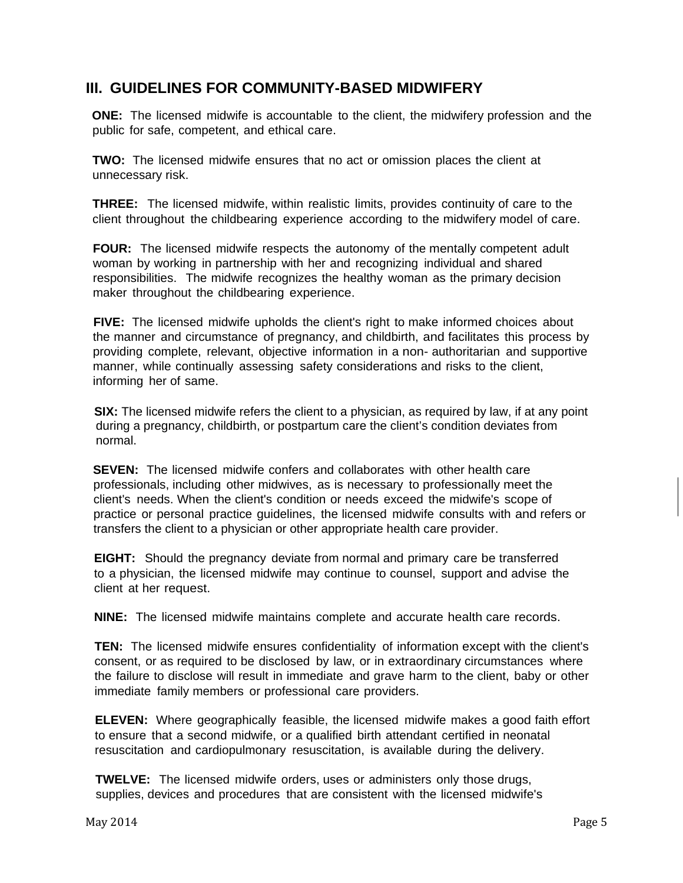# **III. GUIDELINES FOR COMMUNITY-BASED MIDWIFERY**

**ONE:** The licensed midwife is accountable to the client, the midwifery profession and the public for safe, competent, and ethical care.

**TWO:** The licensed midwife ensures that no act or omission places the client at unnecessary risk.

**THREE:** The licensed midwife, within realistic limits, provides continuity of care to the client throughout the childbearing experience according to the midwifery model of care.

**FOUR:** The licensed midwife respects the autonomy of the mentally competent adult woman by working in partnership with her and recognizing individual and shared responsibilities. The midwife recognizes the healthy woman as the primary decision maker throughout the childbearing experience.

**FIVE:** The licensed midwife upholds the client's right to make informed choices about the manner and circumstance of pregnancy, and childbirth, and facilitates this process by providing complete, relevant, objective information in a non- authoritarian and supportive manner, while continually assessing safety considerations and risks to the client, informing her of same.

**SIX:** The licensed midwife refers the client to a physician, as required by law, if at any point during a pregnancy, childbirth, or postpartum care the client's condition deviates from normal.

**SEVEN:** The licensed midwife confers and collaborates with other health care professionals, including other midwives, as is necessary to professionally meet the client's needs. When the client's condition or needs exceed the midwife's scope of practice or personal practice guidelines, the licensed midwife consults with and refers or transfers the client to a physician or other appropriate health care provider.

**EIGHT:** Should the pregnancy deviate from normal and primary care be transferred to a physician, the licensed midwife may continue to counsel, support and advise the client at her request.

**NINE:** The licensed midwife maintains complete and accurate health care records.

**TEN:** The licensed midwife ensures confidentiality of information except with the client's consent, or as required to be disclosed by law, or in extraordinary circumstances where the failure to disclose will result in immediate and grave harm to the client, baby or other immediate family members or professional care providers.

**ELEVEN:** Where geographically feasible, the licensed midwife makes a good faith effort to ensure that a second midwife, or a qualified birth attendant certified in neonatal resuscitation and cardiopulmonary resuscitation, is available during the delivery.

**TWELVE:** The licensed midwife orders, uses or administers only those drugs, supplies, devices and procedures that are consistent with the licensed midwife's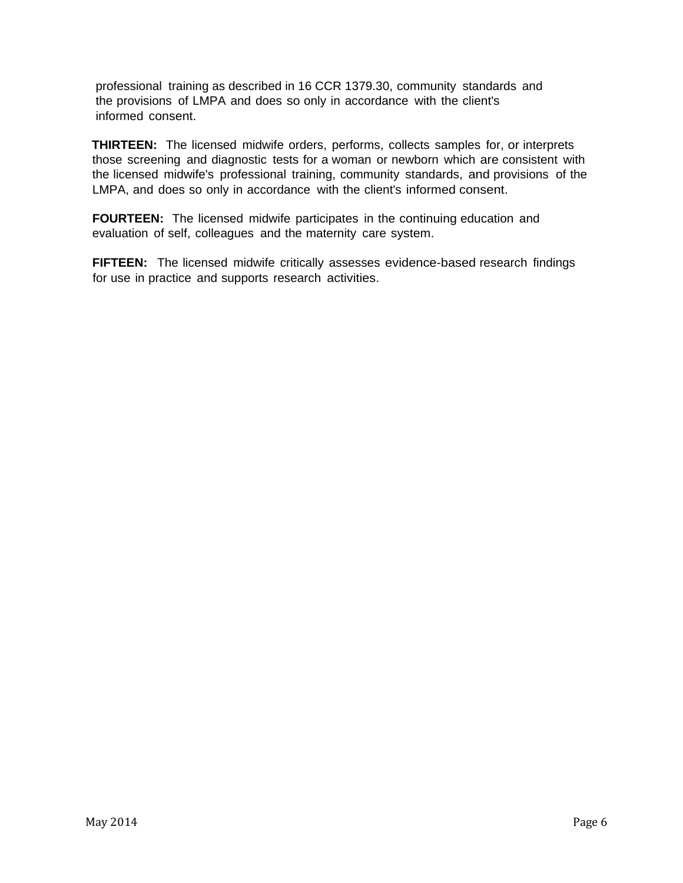professional training as described in 16 CCR 1379.30, community standards and the provisions of LMPA and does so only in accordance with the client's informed consent.

**THIRTEEN:** The licensed midwife orders, performs, collects samples for, or interprets those screening and diagnostic tests for a woman or newborn which are consistent with the licensed midwife's professional training, community standards, and provisions of the LMPA, and does so only in accordance with the client's informed consent.

**FOURTEEN:** The licensed midwife participates in the continuing education and evaluation of self, colleagues and the maternity care system.

**FIFTEEN:** The licensed midwife critically assesses evidence-based research findings for use in practice and supports research activities.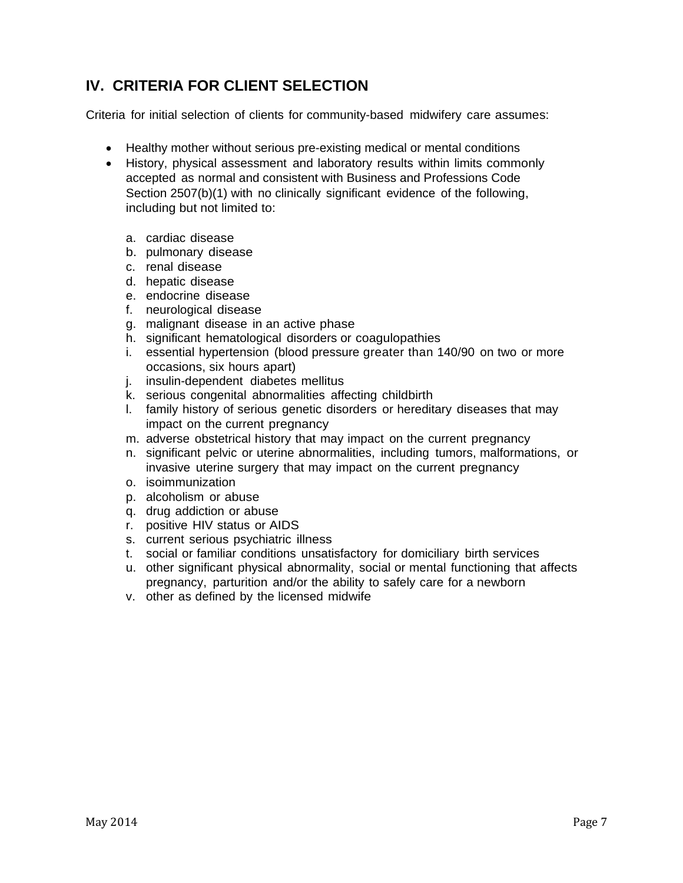# **IV. CRITERIA FOR CLIENT SELECTION**

Criteria for initial selection of clients for community-based midwifery care assumes:

- Healthy mother without serious pre-existing medical or mental conditions
- History, physical assessment and laboratory results within limits commonly accepted as normal and consistent with Business and Professions Code Section 2507(b)(1) with no clinically significant evidence of the following, including but not limited to:
	- a. cardiac disease
	- b. pulmonary disease
	- c. renal disease
	- d. hepatic disease
	- e. endocrine disease
	- f. neurological disease
	- g. malignant disease in an active phase
	- h. significant hematological disorders or coagulopathies
	- i. essential hypertension (blood pressure greater than 140/90 on two or more occasions, six hours apart)
	- j. insulin-dependent diabetes mellitus
	- k. serious congenital abnormalities affecting childbirth
	- l. family history of serious genetic disorders or hereditary diseases that may impact on the current pregnancy
	- m. adverse obstetrical history that may impact on the current pregnancy
	- n. significant pelvic or uterine abnormalities, including tumors, malformations, or invasive uterine surgery that may impact on the current pregnancy
	- o. isoimmunization
	- p. alcoholism or abuse
	- q. drug addiction or abuse
	- r. positive HIV status or AIDS
	- s. current serious psychiatric illness
	- t. social or familiar conditions unsatisfactory for domiciliary birth services
	- u. other significant physical abnormality, social or mental functioning that affects pregnancy, parturition and/or the ability to safely care for a newborn
	- v. other as defined by the licensed midwife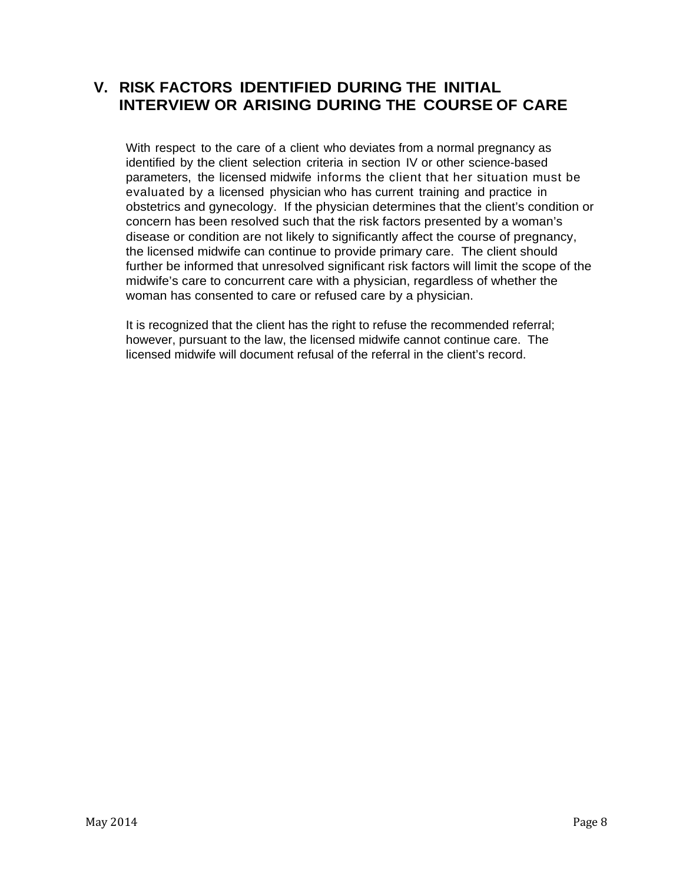### **V. RISK FACTORS IDENTIFIED DURING THE INITIAL INTERVIEW OR ARISING DURING THE COURSE OF CARE**

With respect to the care of a client who deviates from a normal pregnancy as identified by the client selection criteria in section IV or other science-based parameters, the licensed midwife informs the client that her situation must be evaluated by a licensed physician who has current training and practice in obstetrics and gynecology. If the physician determines that the client's condition or concern has been resolved such that the risk factors presented by a woman's disease or condition are not likely to significantly affect the course of pregnancy, the licensed midwife can continue to provide primary care. The client should further be informed that unresolved significant risk factors will limit the scope of the midwife's care to concurrent care with a physician, regardless of whether the woman has consented to care or refused care by a physician.

It is recognized that the client has the right to refuse the recommended referral; however, pursuant to the law, the licensed midwife cannot continue care. The licensed midwife will document refusal of the referral in the client's record.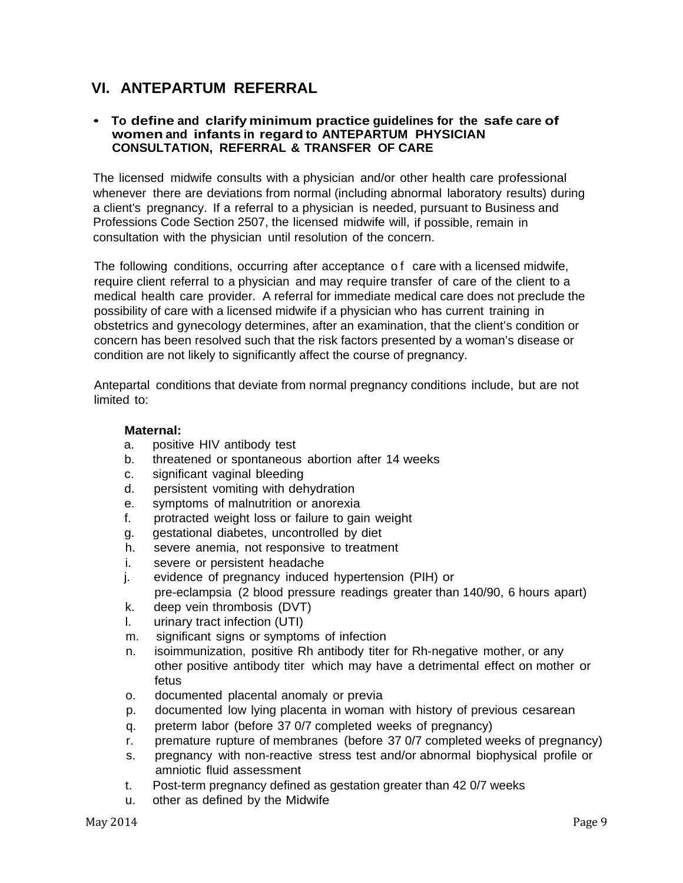### **VI. ANTEPARTUM REFERRAL**

### • **To define and clarify minimum practice guidelines for the safe care of women and infants in regard to ANTEPARTUM PHYSICIAN CONSULTATION, REFERRAL & TRANSFER OF CARE**

The licensed midwife consults with a physician and/or other health care professional whenever there are deviations from normal (including abnormal laboratory results) during a client's pregnancy. If a referral to a physician is needed, pursuant to Business and Professions Code Section 2507, the licensed midwife will, if possible, remain in consultation with the physician until resolution of the concern.

The following conditions, occurring after acceptance o f care with a licensed midwife, require client referral to a physician and may require transfer of care of the client to a medical health care provider. A referral for immediate medical care does not preclude the possibility of care with a licensed midwife if a physician who has current training in obstetrics and gynecology determines, after an examination, that the client's condition or concern has been resolved such that the risk factors presented by a woman's disease or condition are not likely to significantly affect the course of pregnancy.

Antepartal conditions that deviate from normal pregnancy conditions include, but are not limited to:

### **Maternal:**

- a. positive HIV antibody test
- b. threatened or spontaneous abortion after 14 weeks
- c. significant vaginal bleeding
- d. persistent vomiting with dehydration
- e. symptoms of malnutrition or anorexia
- f. protracted weight loss or failure to gain weight
- g. gestational diabetes, uncontrolled by diet
- h. severe anemia, not responsive to treatment
- i. severe or persistent headache
- j. evidence of pregnancy induced hypertension (PIH) or pre-eclampsia (2 blood pressure readings greater than 140/90, 6 hours apart)
- k. deep vein thrombosis (DVT)
- l. urinary tract infection (UTI)
- m. significant signs or symptoms of infection
- n. isoimmunization, positive Rh antibody titer for Rh-negative mother, or any other positive antibody titer which may have a detrimental effect on mother or fetus
- o. documented placental anomaly or previa
- p. documented low lying placenta in woman with history of previous cesarean
- q. preterm labor (before 37 0/7 completed weeks of pregnancy)
- r. premature rupture of membranes (before 37 0/7 completed weeks of pregnancy)
- s. pregnancy with non-reactive stress test and/or abnormal biophysical profile or amniotic fluid assessment
- t. Post-term pregnancy defined as gestation greater than 42 0/7 weeks
- u. other as defined by the Midwife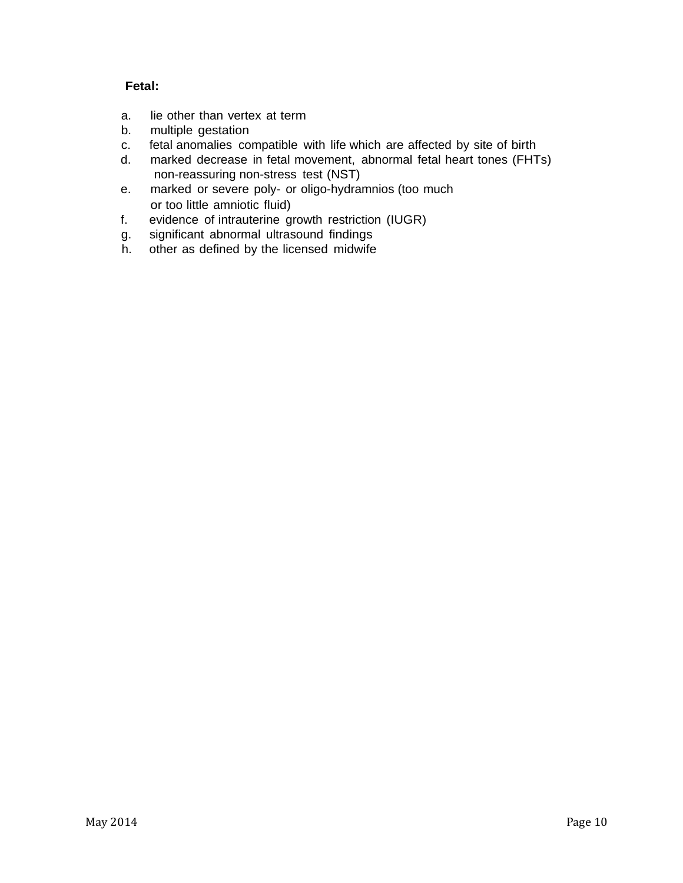### **Fetal:**

- a. lie other than vertex at term
- b. multiple gestation
- c. fetal anomalies compatible with life which are affected by site of birth
- d. marked decrease in fetal movement, abnormal fetal heart tones (FHTs) non-reassuring non-stress test (NST)
- e. marked or severe poly- or oligo-hydramnios (too much or too little amniotic fluid)
- f. evidence of intrauterine growth restriction (IUGR)
- g. significant abnormal ultrasound findings
- h. other as defined by the licensed midwife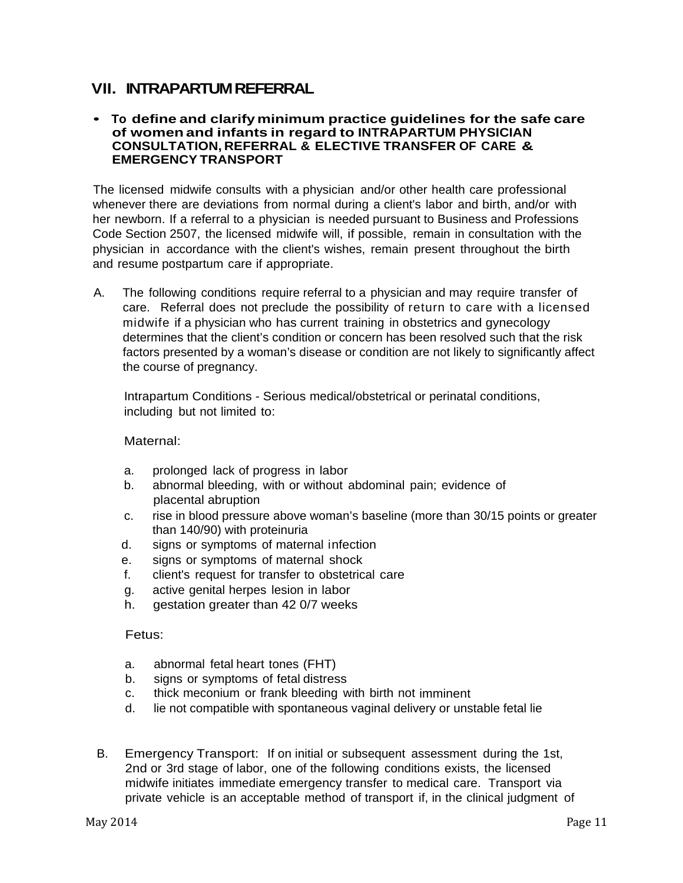### **VII. INTRAPARTUM REFERRAL**

#### • **To define and clarify minimum practice guidelines for the safe care of women and infants in regard to INTRAPARTUM PHYSICIAN CONSULTATION, REFERRAL & ELECTIVE TRANSFER OF CARE & EMERGENCY TRANSPORT**

The licensed midwife consults with a physician and/or other health care professional whenever there are deviations from normal during a client's labor and birth, and/or with her newborn. If a referral to a physician is needed pursuant to Business and Professions Code Section 2507, the licensed midwife will, if possible, remain in consultation with the physician in accordance with the client's wishes, remain present throughout the birth and resume postpartum care if appropriate.

A. The following conditions require referral to a physician and may require transfer of care. Referral does not preclude the possibility of return to care with a licensed midwife if a physician who has current training in obstetrics and gynecology determines that the client's condition or concern has been resolved such that the risk factors presented by a woman's disease or condition are not likely to significantly affect the course of pregnancy.

Intrapartum Conditions - Serious medical/obstetrical or perinatal conditions, including but not limited to:

### Maternal:

- a. prolonged lack of progress in labor
- b. abnormal bleeding, with or without abdominal pain; evidence of placental abruption
- c. rise in blood pressure above woman's baseline (more than 30/15 points or greater than 140/90) with proteinuria
- d. signs or symptoms of maternal infection
- e. signs or symptoms of maternal shock
- f. client's request for transfer to obstetrical care
- g. active genital herpes lesion in labor
- h. gestation greater than 42 0/7 weeks

Fetus:

- a. abnormal fetal heart tones (FHT)
- b. signs or symptoms of fetal distress
- c. thick meconium or frank bleeding with birth not imminent
- d. lie not compatible with spontaneous vaginal delivery or unstable fetal lie
- B. Emergency Transport: If on initial or subsequent assessment during the 1st, 2nd or 3rd stage of labor, one of the following conditions exists, the licensed midwife initiates immediate emergency transfer to medical care. Transport via private vehicle is an acceptable method of transport if, in the clinical judgment of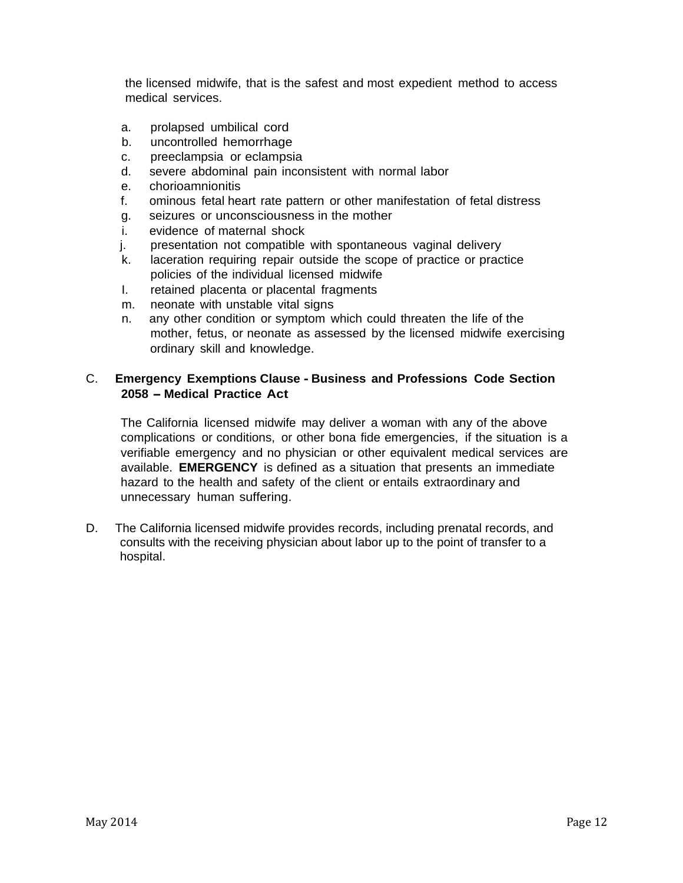the licensed midwife, that is the safest and most expedient method to access medical services.

- a. prolapsed umbilical cord
- b. uncontrolled hemorrhage
- c. preeclampsia or eclampsia
- d. severe abdominal pain inconsistent with normal labor
- e. chorioamnionitis
- f. ominous fetal heart rate pattern or other manifestation of fetal distress
- g. seizures or unconsciousness in the mother
- i. evidence of maternal shock
- j. presentation not compatible with spontaneous vaginal delivery
- k. laceration requiring repair outside the scope of practice or practice policies of the individual licensed midwife
- I. retained placenta or placental fragments
- m. neonate with unstable vital signs
- n. any other condition or symptom which could threaten the life of the mother, fetus, or neonate as assessed by the licensed midwife exercising ordinary skill and knowledge.

### C. **Emergency Exemptions Clause - Business and Professions Code Section <sup>2058</sup> - Medical Practice Act**

The California licensed midwife may deliver a woman with any of the above complications or conditions, or other bona fide emergencies, if the situation is a verifiable emergency and no physician or other equivalent medical services are available. **EMERGENCY** is defined as a situation that presents an immediate hazard to the health and safety of the client or entails extraordinary and unnecessary human suffering.

D. The California licensed midwife provides records, including prenatal records, and consults with the receiving physician about labor up to the point of transfer to a hospital.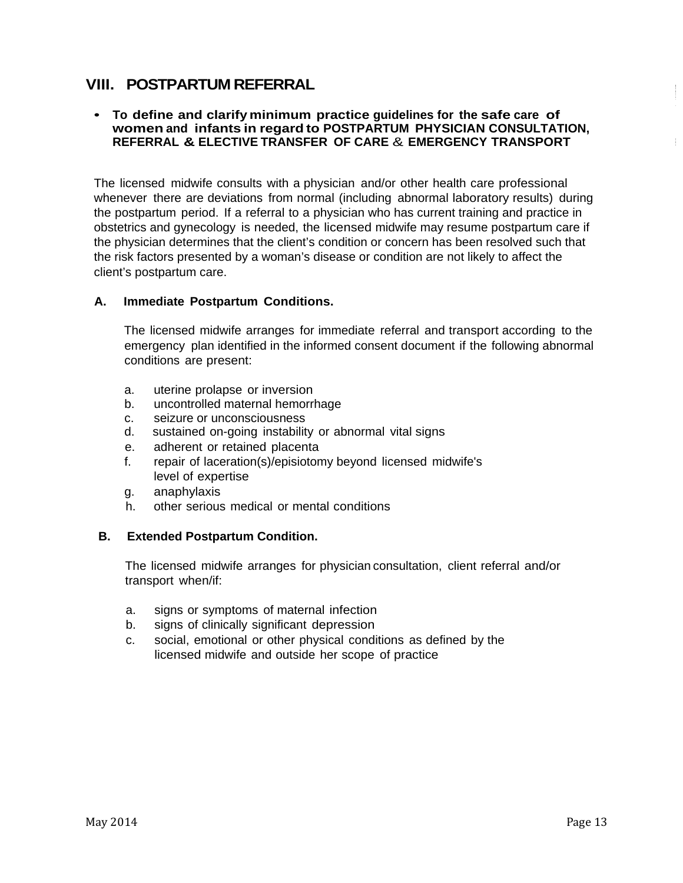### **VIII. POSTPARTUM REFERRAL**

### • **To define and clarify minimum practice guidelines for the safe care of women and infants in regard to POSTPARTUM PHYSICIAN CONSULTATION, REFERRAL & ELECTIVE TRANSFER OF CARE** & **EMERGENCY TRANSPORT**

The licensed midwife consults with a physician and/or other health care professional whenever there are deviations from normal (including abnormal laboratory results) during the postpartum period. If a referral to a physician who has current training and practice in obstetrics and gynecology is needed, the licensed midwife may resume postpartum care if the physician determines that the client's condition or concern has been resolved such that the risk factors presented by a woman's disease or condition are not likely to affect the client's postpartum care.

### **A. Immediate Postpartum Conditions.**

The licensed midwife arranges for immediate referral and transport according to the emergency plan identified in the informed consent document if the following abnormal conditions are present:

- a. uterine prolapse or inversion
- b. uncontrolled maternal hemorrhage
- c. seizure or unconsciousness
- d. sustained on-going instability or abnormal vital signs
- e. adherent or retained placenta
- f. repair of laceration(s)/episiotomy beyond licensed midwife's level of expertise
- g. anaphylaxis
- h. other serious medical or mental conditions

#### **B. Extended Postpartum Condition.**

The licensed midwife arranges for physician consultation, client referral and/or transport when/if:

- a. signs or symptoms of maternal infection
- b. signs of clinically significant depression
- c. social, emotional or other physical conditions as defined by the licensed midwife and outside her scope of practice

Ť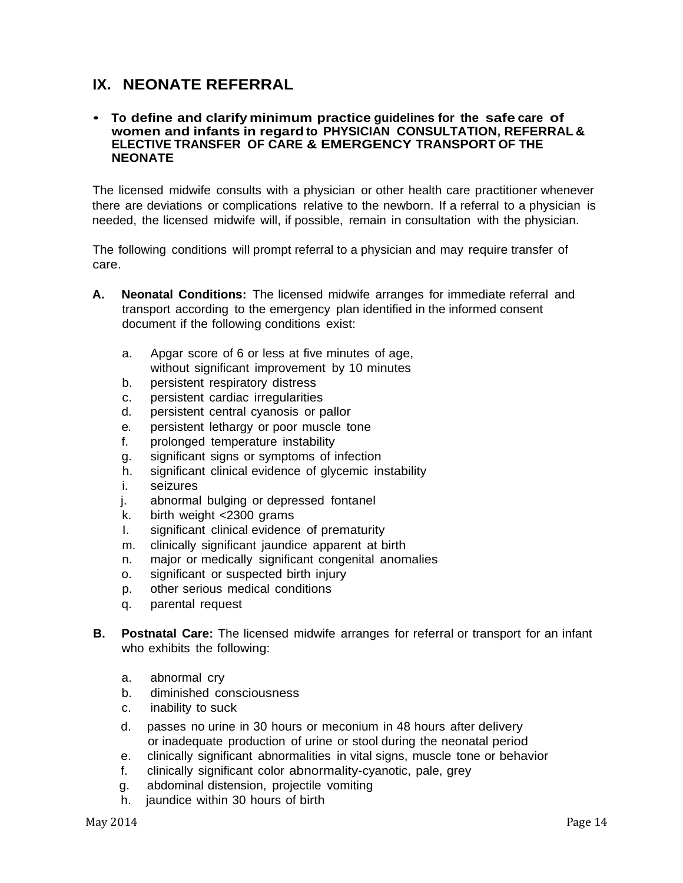# **IX. NEONATE REFERRAL**

#### • **To define and clarify minimum practice guidelines for the safe care of women and infants in regardto PHYSICIAN CONSULTATION, REFERRAL & ELECTIVE TRANSFER OF CARE & EMERGENCY TRANSPORT OF THE NEONATE**

The licensed midwife consults with a physician or other health care practitioner whenever there are deviations or complications relative to the newborn. If a referral to a physician is needed, the licensed midwife will, if possible, remain in consultation with the physician.

The following conditions will prompt referral to a physician and may require transfer of care.

- **A. Neonatal Conditions:** The licensed midwife arranges for immediate referral and transport according to the emergency plan identified in the informed consent document if the following conditions exist:
	- a. Apgar score of 6 or less at five minutes of age, without significant improvement by 10 minutes
	- b. persistent respiratory distress
	- c. persistent cardiac irregularities
	- d. persistent central cyanosis or pallor
	- e*.* persistent lethargy or poor muscle tone
	- f. prolonged temperature instability
	- g. significant signs or symptoms of infection
	- h. significant clinical evidence of glycemic instability
	- i. seizures
	- j. abnormal bulging or depressed fontanel
	- k. birth weight <2300 grams
	- I. significant clinical evidence of prematurity
	- m. clinically significant jaundice apparent at birth
	- n. major or medically significant congenital anomalies
	- o. significant or suspected birth injury
	- p. other serious medical conditions
	- q. parental request
- **B. Postnatal Care:** The licensed midwife arranges for referral or transport for an infant who exhibits the following:
	- a. abnormal cry
	- b. diminished consciousness
	- c. inability to suck
	- d. passes no urine in 30 hours or meconium in 48 hours after delivery or inadequate production of urine or stool during the neonatal period
	- e. clinically significant abnormalities in vital signs, muscle tone or behavior
	- f. clinically significant color abnormality-cyanotic, pale, grey
	- g. abdominal distension, projectile vomiting
	- h. jaundice within 30 hours of birth